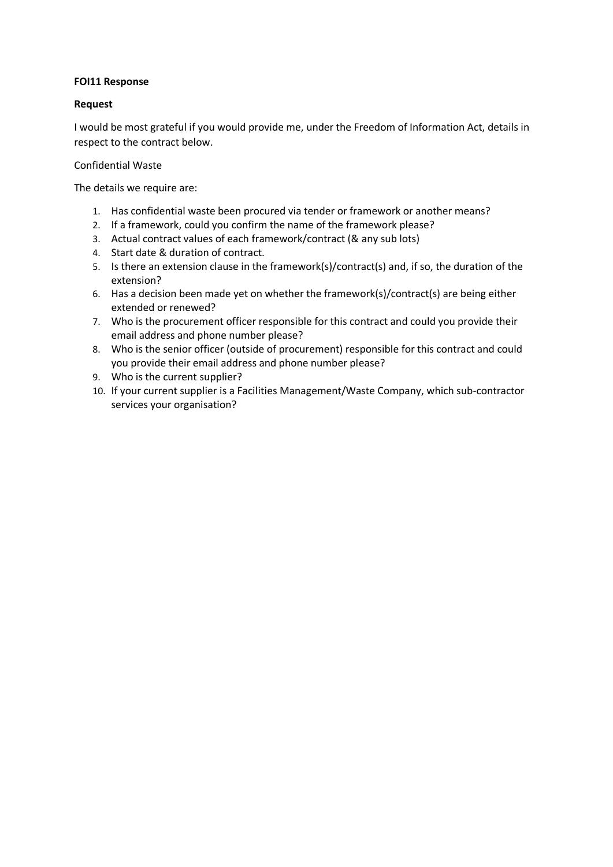## **FOI11 Response**

## **Request**

I would be most grateful if you would provide me, under the Freedom of Information Act, details in respect to the contract below.

## Confidential Waste

The details we require are:

- 1. Has confidential waste been procured via tender or framework or another means?
- 2. If a framework, could you confirm the name of the framework please?
- 3. Actual contract values of each framework/contract (& any sub lots)
- 4. Start date & duration of contract.
- 5. Is there an extension clause in the framework(s)/contract(s) and, if so, the duration of the extension?
- 6. Has a decision been made yet on whether the framework(s)/contract(s) are being either extended or renewed?
- 7. Who is the procurement officer responsible for this contract and could you provide their email address and phone number please?
- 8. Who is the senior officer (outside of procurement) responsible for this contract and could you provide their email address and phone number please?
- 9. Who is the current supplier?
- 10. If your current supplier is a Facilities Management/Waste Company, which sub-contractor services your organisation?